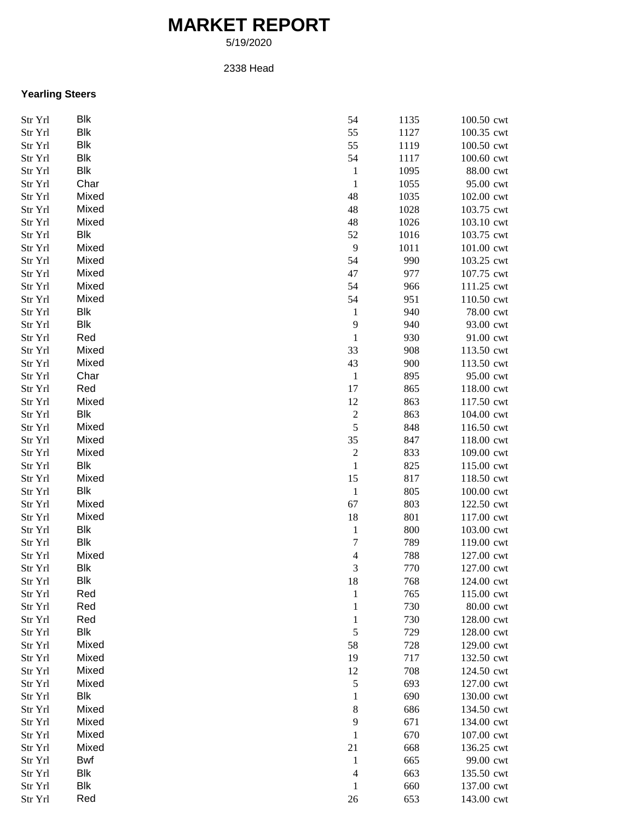## **MARKET REPORT**

5/19/2020

## 2338 Head

## **Yearling Steers**

| Str Yrl | Blk        | 54                      | 1135 | 100.50 cwt |
|---------|------------|-------------------------|------|------------|
| Str Yrl | <b>Blk</b> | 55                      | 1127 | 100.35 cwt |
| Str Yrl | <b>Blk</b> | 55                      | 1119 | 100.50 cwt |
| Str Yrl | <b>Blk</b> | 54                      | 1117 | 100.60 cwt |
| Str Yrl | <b>Blk</b> | $\mathbf{1}$            | 1095 | 88.00 cwt  |
| Str Yrl | Char       | $\,1\,$                 | 1055 | 95.00 cwt  |
| Str Yrl | Mixed      | 48                      | 1035 | 102.00 cwt |
| Str Yrl | Mixed      | 48                      | 1028 | 103.75 cwt |
| Str Yrl | Mixed      | 48                      | 1026 | 103.10 cwt |
| Str Yrl | Blk        | 52                      | 1016 | 103.75 cwt |
| Str Yrl | Mixed      | $\boldsymbol{9}$        | 1011 | 101.00 cwt |
| Str Yrl | Mixed      | 54                      | 990  | 103.25 cwt |
| Str Yrl | Mixed      | 47                      | 977  | 107.75 cwt |
| Str Yrl | Mixed      | 54                      | 966  | 111.25 cwt |
| Str Yrl | Mixed      | 54                      | 951  | 110.50 cwt |
| Str Yrl | Blk        | $\mathbf{1}$            | 940  | 78.00 cwt  |
| Str Yrl | Blk        | $\mathbf{9}$            | 940  | 93.00 cwt  |
|         | Red        | $\,1\,$                 | 930  | 91.00 cwt  |
| Str Yrl |            |                         |      |            |
| Str Yrl | Mixed      | 33                      | 908  | 113.50 cwt |
| Str Yrl | Mixed      | 43                      | 900  | 113.50 cwt |
| Str Yrl | Char       | $\mathbf{1}$            | 895  | 95.00 cwt  |
| Str Yrl | Red        | 17                      | 865  | 118.00 cwt |
| Str Yrl | Mixed      | 12                      | 863  | 117.50 cwt |
| Str Yrl | Blk        | $\sqrt{2}$              | 863  | 104.00 cwt |
| Str Yrl | Mixed      | $\sqrt{5}$              | 848  | 116.50 cwt |
| Str Yrl | Mixed      | 35                      | 847  | 118.00 cwt |
| Str Yrl | Mixed      | $\sqrt{2}$              | 833  | 109.00 cwt |
| Str Yrl | Blk        | $\mathbf{1}$            | 825  | 115.00 cwt |
| Str Yrl | Mixed      | 15                      | 817  | 118.50 cwt |
| Str Yrl | Blk        | $\,1$                   | 805  | 100.00 cwt |
| Str Yrl | Mixed      | 67                      | 803  | 122.50 cwt |
| Str Yrl | Mixed      | $18\,$                  | 801  | 117.00 cwt |
| Str Yrl | Blk        | $\mathbf{1}$            | 800  | 103.00 cwt |
| Str Yrl | <b>Blk</b> | 7                       | 789  | 119.00 cwt |
| Str Yrl | Mixed      | $\overline{\mathbf{4}}$ | 788  | 127.00 cwt |
| Str Yrl | Blk        | 3                       | 770  | 127.00 cwt |
| Str Yrl | <b>Blk</b> | $18\,$                  | 768  | 124.00 cwt |
| Str Yrl | Red        | $\mathbf{1}$            | 765  | 115.00 cwt |
| Str Yrl | Red        | $\mathbf{1}$            | 730  | 80.00 cwt  |
| Str Yrl | Red        | $\mathbf{1}$            | 730  | 128.00 cwt |
| Str Yrl | Blk        | $\sqrt{5}$              | 729  | 128.00 cwt |
| Str Yrl | Mixed      | 58                      | 728  | 129.00 cwt |
| Str Yrl | Mixed      | 19                      | 717  | 132.50 cwt |
| Str Yrl | Mixed      | 12                      | 708  | 124.50 cwt |
| Str Yrl | Mixed      | $\mathfrak s$           | 693  | 127.00 cwt |
| Str Yrl | Blk        | $\mathbf{1}$            | 690  | 130.00 cwt |
| Str Yrl | Mixed      | 8                       | 686  | 134.50 cwt |
| Str Yrl | Mixed      | $\mathbf{9}$            | 671  | 134.00 cwt |
| Str Yrl | Mixed      | $\,1$                   | 670  | 107.00 cwt |
| Str Yrl | Mixed      | 21                      | 668  | 136.25 cwt |
| Str Yrl | Bwf        | $\mathbf{1}$            | 665  | 99.00 cwt  |
| Str Yrl | Blk        | 4                       | 663  | 135.50 cwt |
| Str Yrl | Blk        | $\mathbf 1$             | 660  | 137.00 cwt |
| Str Yrl | Red        | 26                      | 653  | 143.00 cwt |
|         |            |                         |      |            |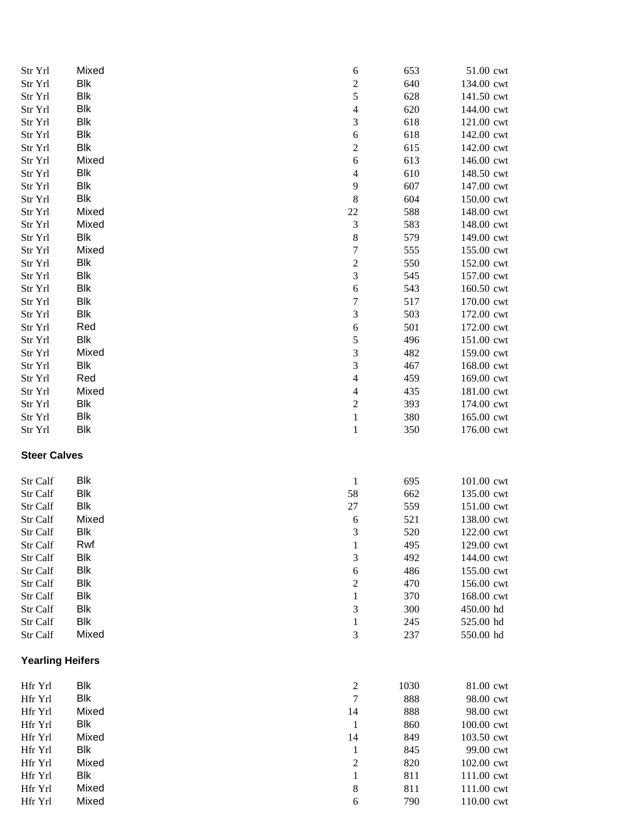| Str Yrl                 | Mixed        | 6                              | 653        | 51.00 cwt                |
|-------------------------|--------------|--------------------------------|------------|--------------------------|
| Str Yrl                 | <b>Blk</b>   | $\overline{c}$                 | 640        | 134.00 cwt               |
| Str Yrl                 | <b>Blk</b>   | 5                              | 628        | 141.50 cwt               |
| Str Yrl                 | <b>Blk</b>   | $\overline{4}$                 | 620        | 144.00 cwt               |
| Str Yrl                 | Blk          | $\ensuremath{\mathfrak{Z}}$    | 618        | 121.00 cwt               |
| Str Yrl                 | <b>Blk</b>   | 6                              | 618        | 142.00 cwt               |
| Str Yrl                 | Blk          | $\boldsymbol{2}$               | 615        | 142.00 cwt               |
| Str Yrl                 | Mixed        | 6                              | 613        | 146.00 cwt               |
| Str Yrl                 | Blk          | 4                              | 610        | 148.50 cwt               |
| Str Yrl                 | Blk          | 9                              | 607        | 147.00 cwt               |
| Str Yrl                 | Blk          | $\,8\,$                        | 604        | 150.00 cwt               |
| Str Yrl                 | Mixed        | 22                             | 588        | 148.00 cwt               |
| Str Yrl                 | Mixed        | $\sqrt{3}$                     | 583        | 148.00 cwt               |
| Str Yrl                 | <b>Blk</b>   | $\,$ 8 $\,$                    | 579        | 149.00 cwt               |
| Str Yrl                 | Mixed        | $\boldsymbol{7}$               | 555        | 155.00 cwt               |
| Str Yrl                 | <b>Blk</b>   | $\sqrt{2}$                     | 550        | 152.00 cwt               |
| Str Yrl                 | <b>Blk</b>   | $\overline{3}$                 | 545        | 157.00 cwt               |
| Str Yrl                 | Blk          | $\sqrt{6}$                     | 543        | 160.50 cwt               |
| Str Yrl                 | <b>Blk</b>   | $\sqrt{ }$                     | 517        | 170.00 cwt               |
| Str Yrl                 | <b>Blk</b>   | $\mathfrak 3$                  | 503        | 172.00 cwt               |
| Str Yrl                 | Red          | 6                              | 501        | 172.00 cwt               |
| Str Yrl                 | <b>Blk</b>   | $\mathfrak s$                  | 496        | 151.00 cwt               |
| Str Yrl                 | Mixed        | 3                              | 482        | 159.00 cwt               |
| Str Yrl                 | Blk          | $\sqrt{3}$                     | 467        | 168.00 cwt               |
| Str Yrl                 | Red          | 4                              | 459        | 169.00 cwt               |
| Str Yrl                 | Mixed<br>Blk | 4                              | 435        | 181.00 cwt               |
| Str Yrl<br>Str Yrl      | Blk          | $\overline{c}$<br>$\mathbf{1}$ | 393<br>380 | 174.00 cwt<br>165.00 cwt |
| Str Yrl                 | <b>Blk</b>   | $\mathbf{1}$                   | 350        | 176.00 cwt               |
|                         |              |                                |            |                          |
| <b>Steer Calves</b>     |              |                                |            |                          |
| Str Calf                | <b>Blk</b>   | $\mathbf{1}$                   | 695        | 101.00 cwt               |
| Str Calf                | <b>Blk</b>   | 58                             | 662        | 135.00 cwt               |
| Str Calf                | <b>Blk</b>   | $27\,$                         | 559        | 151.00 cwt               |
| Str Calf                | Mixed        | 6                              | 521        | 138.00 cwt               |
| Str Calf                | <b>Blk</b>   | 3                              | 520        | 122.00 cwt               |
| Str Calf                | Rwf          | $\mathbf{1}$                   | 495        | 129.00 cwt               |
| Str Calf                | Blk          | 3                              | 492        | 144.00 cwt               |
| Str Calf                | Blk          | 6                              | 486        | 155.00 cwt               |
| Str Calf                | <b>Blk</b>   | $\overline{c}$                 | 470        | 156.00 cwt               |
| Str Calf                | Blk          | 1                              | 370        | 168.00 cwt               |
| Str Calf                | <b>Blk</b>   | 3                              | 300        | 450.00 hd                |
| Str Calf                | Blk          | 1                              | 245        | 525.00 hd                |
| Str Calf                | Mixed        | 3                              | 237        | 550.00 hd                |
| <b>Yearling Heifers</b> |              |                                |            |                          |
| Hfr Yrl                 | Blk          | $\sqrt{2}$                     | 1030       | 81.00 cwt                |
| Hfr Yrl                 | Blk          | $\boldsymbol{7}$               | 888        | 98.00 cwt                |
| Hfr Yrl                 | Mixed        | 14                             | 888        | 98.00 cwt                |
| Hfr Yrl                 | Blk          | $\mathbf{1}$                   | 860        | 100.00 cwt               |
| Hfr Yrl                 | Mixed        | 14                             | 849        | 103.50 cwt               |
| Hfr Yrl                 | <b>Blk</b>   | $\mathbf{1}$                   | 845        | 99.00 cwt                |
| Hfr Yrl                 | Mixed        | $\overline{c}$                 | 820        | 102.00 cwt               |
| Hfr Yrl                 | Blk          | $\mathbf{1}$                   | 811        | 111.00 cwt               |
| Hfr Yrl                 | Mixed        | 8                              | 811        | 111.00 cwt               |
| Hfr Yrl                 | Mixed        | 6                              | 790        | 110.00 cwt               |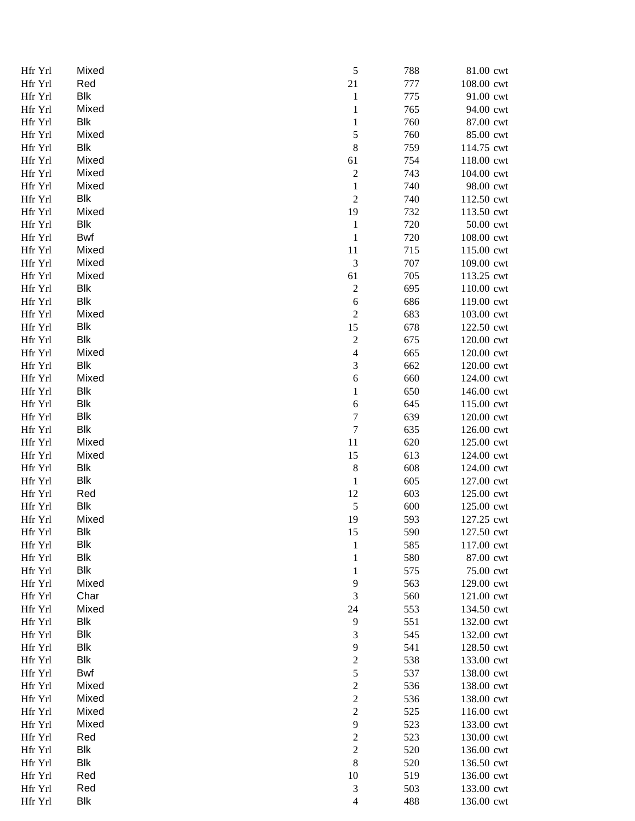| Hfr Yrl            | Mixed        | 5                            | 788        | 81.00 cwt                |
|--------------------|--------------|------------------------------|------------|--------------------------|
| Hfr Yrl            | Red          | 21                           | 777        | 108.00 cwt               |
| Hfr Yrl            | <b>Blk</b>   | $\mathbf{1}$                 | 775        | 91.00 cwt                |
| Hfr Yrl            | Mixed        | $\mathbf{1}$                 | 765        | 94.00 cwt                |
| Hfr Yrl            | <b>Blk</b>   | $\mathbf{1}$                 | 760        | 87.00 cwt                |
| Hfr Yrl            | Mixed        | 5                            | 760        | 85.00 cwt                |
| Hfr Yrl            | Blk          | $\,$ 8 $\,$                  | 759        | 114.75 cwt               |
| Hfr Yrl            | Mixed        | 61                           | 754        | 118.00 cwt               |
| Hfr Yrl            | Mixed        | $\overline{c}$               | 743        | 104.00 cwt               |
| Hfr Yrl            | Mixed        | $\mathbf{1}$                 | 740        | 98.00 cwt                |
| Hfr Yrl            | Blk          | $\boldsymbol{2}$             | 740        | 112.50 cwt               |
| Hfr Yrl            | Mixed        | 19                           | 732        | 113.50 cwt               |
| Hfr Yrl            | <b>Blk</b>   | $\mathbf 1$                  | 720        | 50.00 cwt                |
| Hfr Yrl            | Bwf          | $\mathbf{1}$                 | 720        | 108.00 cwt               |
| Hfr Yrl            | Mixed        | 11                           | 715        | 115.00 cwt               |
| Hfr Yrl            | Mixed        | 3                            | 707        | 109.00 cwt               |
| Hfr Yrl            | Mixed        | 61                           | 705        | 113.25 cwt               |
| Hfr Yrl            | <b>Blk</b>   | $\boldsymbol{2}$             | 695        | 110.00 cwt               |
| Hfr Yrl            | <b>Blk</b>   | $\sqrt{6}$                   | 686        | 119.00 cwt               |
| Hfr Yrl            | Mixed        | $\overline{c}$               | 683        | 103.00 cwt               |
| Hfr Yrl            | <b>Blk</b>   | 15                           | 678        | 122.50 cwt               |
| Hfr Yrl            | <b>Blk</b>   | $\overline{c}$               | 675        | 120.00 cwt               |
| Hfr Yrl            | Mixed        | $\overline{4}$               | 665        | 120.00 cwt               |
| Hfr Yrl            | Blk          | 3                            | 662        | 120.00 cwt               |
| Hfr Yrl            | Mixed        | $\sqrt{6}$                   | 660        | 124.00 cwt               |
| Hfr Yrl            | <b>Blk</b>   | $\mathbf{1}$                 | 650        | 146.00 cwt               |
| Hfr Yrl            | <b>Blk</b>   | 6                            | 645        | 115.00 cwt               |
| Hfr Yrl            | Blk          | $\boldsymbol{7}$             | 639        | 120.00 cwt               |
| Hfr Yrl            | <b>Blk</b>   | $\boldsymbol{7}$             | 635        | 126.00 cwt               |
| Hfr Yrl            | Mixed        | 11                           | 620        | 125.00 cwt               |
| Hfr Yrl            | Mixed        | 15                           | 613        | 124.00 cwt               |
| Hfr Yrl            | <b>Blk</b>   | 8                            | 608        | 124.00 cwt               |
| Hfr Yrl            | <b>Blk</b>   | $\mathbf{1}$                 | 605        | 127.00 cwt               |
| Hfr Yrl            | Red          | 12                           | 603        | 125.00 cwt               |
| Hfr Yrl            | <b>Blk</b>   | $\mathfrak{S}$               | 600        | 125.00 cwt               |
| Hfr Yrl            | Mixed        | 19                           | 593        | 127.25 cwt               |
| Hfr Yrl            | <b>Blk</b>   | $15\,$                       | 590        | 127.50 cwt               |
| Hfr Yrl            | Blk          | $\mathbf{1}$                 | 585        | 117.00 cwt               |
| Hfr Yrl            | <b>Blk</b>   | $\mathbf{1}$                 | 580        | 87.00 cwt                |
| Hfr Yrl            | <b>Blk</b>   | 1                            | 575        | 75.00 cwt                |
| Hfr Yrl            | Mixed        | 9                            | 563        | 129.00 cwt               |
| Hfr Yrl            | Char         | 3                            | 560        | 121.00 cwt               |
| Hfr Yrl            | Mixed        | 24                           | 553        | 134.50 cwt               |
| Hfr Yrl            | <b>Blk</b>   | 9                            | 551        | 132.00 cwt               |
| Hfr Yrl            | <b>Blk</b>   | 3                            | 545        | 132.00 cwt               |
| Hfr Yrl            | <b>Blk</b>   | 9                            | 541        | 128.50 cwt               |
| Hfr Yrl            | <b>Blk</b>   | $\overline{\mathbf{c}}$      | 538        | 133.00 cwt               |
| Hfr Yrl            | Bwf<br>Mixed | 5                            | 537        | 138.00 cwt               |
| Hfr Yrl            | Mixed        | $\overline{c}$               | 536        | 138.00 cwt               |
| Hfr Yrl            | Mixed        | $\overline{c}$<br>$\sqrt{2}$ | 536        | 138.00 cwt               |
| Hfr Yrl            | Mixed        | $\mathbf{9}$                 | 525<br>523 | 116.00 cwt               |
| Hfr Yrl<br>Hfr Yrl | Red          | $\overline{c}$               | 523        | 133.00 cwt<br>130.00 cwt |
| Hfr Yrl            | <b>Blk</b>   | $\overline{c}$               | 520        | 136.00 cwt               |
| Hfr Yrl            | <b>Blk</b>   | $\,$ 8 $\,$                  | 520        | 136.50 cwt               |
| Hfr Yrl            | Red          | 10                           | 519        | 136.00 cwt               |
| Hfr Yrl            | Red          | 3                            | 503        | 133.00 cwt               |
| Hfr Yrl            | <b>Blk</b>   | $\overline{4}$               | 488        | 136.00 cwt               |
|                    |              |                              |            |                          |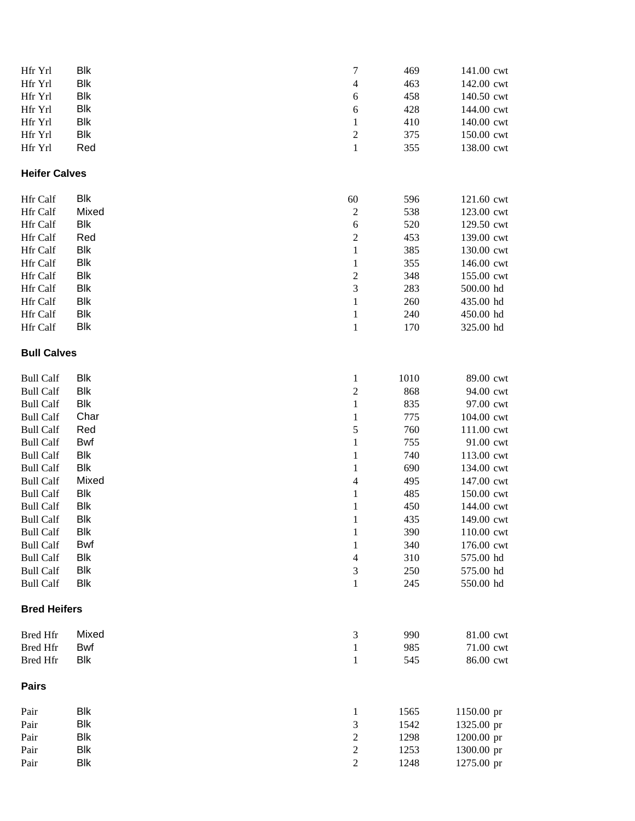| Hfr Yrl              | Blk        | 7                | 469  | 141.00 cwt |
|----------------------|------------|------------------|------|------------|
| Hfr Yrl              | <b>Blk</b> | 4                | 463  | 142.00 cwt |
| Hfr Yrl              | <b>Blk</b> | 6                | 458  | 140.50 cwt |
| Hfr Yrl              | <b>Blk</b> | 6                | 428  | 144.00 cwt |
| Hfr Yrl              | <b>Blk</b> | $\mathbf{1}$     | 410  | 140.00 cwt |
| Hfr Yrl              | Blk        | $\boldsymbol{2}$ | 375  | 150.00 cwt |
| Hfr Yrl              | Red        | $\,1$            | 355  | 138.00 cwt |
| <b>Heifer Calves</b> |            |                  |      |            |
| Hfr Calf             | <b>Blk</b> | 60               | 596  | 121.60 cwt |
| Hfr Calf             | Mixed      | $\overline{c}$   | 538  | 123.00 cwt |
| Hfr Calf             | <b>Blk</b> | $\sqrt{6}$       | 520  | 129.50 cwt |
| Hfr Calf             | Red        | $\overline{c}$   | 453  | 139.00 cwt |
| Hfr Calf             | <b>Blk</b> | $\mathbf{1}$     | 385  | 130.00 cwt |
| Hfr Calf             | <b>Blk</b> | $\mathbf{1}$     | 355  | 146.00 cwt |
| Hfr Calf             | <b>Blk</b> | $\overline{c}$   | 348  | 155.00 cwt |
| Hfr Calf             | <b>Blk</b> | 3                | 283  | 500.00 hd  |
| Hfr Calf             | <b>Blk</b> | $\mathbf{1}$     | 260  | 435.00 hd  |
| Hfr Calf             | <b>Blk</b> | $\mathbf{1}$     | 240  | 450.00 hd  |
| Hfr Calf             | <b>Blk</b> | $\,1$            | 170  | 325.00 hd  |
| <b>Bull Calves</b>   |            |                  |      |            |
| <b>Bull Calf</b>     | <b>Blk</b> | $\mathbf{1}$     | 1010 | 89.00 cwt  |
| <b>Bull Calf</b>     | <b>Blk</b> | $\overline{c}$   | 868  | 94.00 cwt  |
| <b>Bull Calf</b>     | <b>Blk</b> | $\,1\,$          | 835  | 97.00 cwt  |
| <b>Bull Calf</b>     | Char       | $\,1$            | 775  | 104.00 cwt |
| <b>Bull Calf</b>     | Red        | 5                | 760  | 111.00 cwt |
| <b>Bull Calf</b>     | <b>Bwf</b> | $\,1$            | 755  | 91.00 cwt  |
| <b>Bull Calf</b>     | Blk        | $\,1$            | 740  | 113.00 cwt |
| <b>Bull Calf</b>     | <b>Blk</b> | $\mathbf 1$      | 690  | 134.00 cwt |
| <b>Bull Calf</b>     | Mixed      | $\overline{4}$   | 495  | 147.00 cwt |
| <b>Bull Calf</b>     | <b>Blk</b> | $\mathbf{1}$     | 485  | 150.00 cwt |
| <b>Bull Calf</b>     | <b>Blk</b> | $\,1\,$          | 450  | 144.00 cwt |
| <b>Bull Calf</b>     | <b>Blk</b> | $\,1\,$          | 435  | 149.00 cwt |
| <b>Bull Calf</b>     | Blk        | 1                | 390  | 110.00 cwt |
| <b>Bull Calf</b>     | <b>Bwf</b> | $\,1\,$          | 340  | 176.00 cwt |
| <b>Bull Calf</b>     | <b>Blk</b> | 4                | 310  | 575.00 hd  |
| <b>Bull Calf</b>     | <b>Blk</b> | 3                | 250  | 575.00 hd  |
| <b>Bull Calf</b>     | <b>Blk</b> | $\mathbf{1}$     | 245  | 550.00 hd  |
| <b>Bred Heifers</b>  |            |                  |      |            |
| <b>Bred Hfr</b>      | Mixed      | 3                | 990  | 81.00 cwt  |
| <b>Bred Hfr</b>      | <b>Bwf</b> | $\mathbf{1}$     | 985  | 71.00 cwt  |
| <b>Bred Hfr</b>      | Blk        | $\mathbf{1}$     | 545  | 86.00 cwt  |
| <b>Pairs</b>         |            |                  |      |            |
| Pair                 | <b>Blk</b> | 1                | 1565 | 1150.00 pr |
| Pair                 | <b>Blk</b> | 3                | 1542 | 1325.00 pr |
| Pair                 | <b>Blk</b> | $\overline{c}$   | 1298 | 1200.00 pr |
| Pair                 | <b>Blk</b> | $\overline{c}$   | 1253 | 1300.00 pr |
| Pair                 | <b>Blk</b> | $\overline{2}$   | 1248 | 1275.00 pr |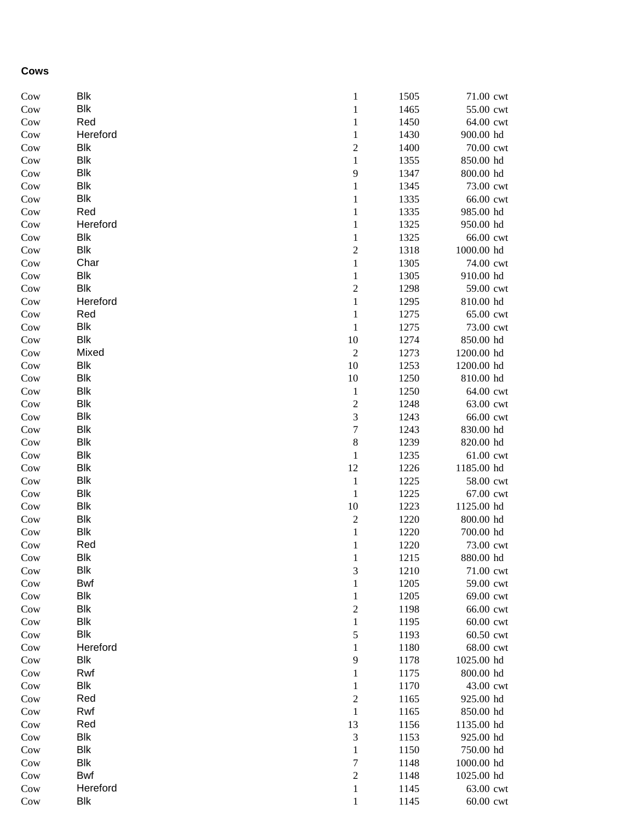## **Cows**

| Cow | Blk        | 1              | 1505 | 71.00 cwt  |
|-----|------------|----------------|------|------------|
| Cow | Blk        | $\,1$          | 1465 | 55.00 cwt  |
| Cow | Red        | $\mathbf{1}$   | 1450 | 64.00 cwt  |
| Cow | Hereford   | $\mathbf{1}$   | 1430 | 900.00 hd  |
| Cow | Blk        | $\overline{c}$ | 1400 | 70.00 cwt  |
| Cow | <b>Blk</b> | $\mathbf{1}$   | 1355 | 850.00 hd  |
| Cow | <b>Blk</b> | 9              | 1347 | 800.00 hd  |
| Cow | <b>Blk</b> | $\mathbf{1}$   | 1345 | 73.00 cwt  |
| Cow | <b>Blk</b> | $\mathbf{1}$   | 1335 | 66.00 cwt  |
| Cow | Red        | $\mathbf{1}$   | 1335 | 985.00 hd  |
| Cow | Hereford   | $\mathbf{1}$   | 1325 | 950.00 hd  |
| Cow | <b>Blk</b> | $\mathbf{1}$   | 1325 | 66.00 cwt  |
| Cow | <b>Blk</b> | $\overline{c}$ | 1318 | 1000.00 hd |
| Cow | Char       | $\mathbf{1}$   | 1305 | 74.00 cwt  |
| Cow | <b>Blk</b> | $\mathbf{1}$   | 1305 | 910.00 hd  |
| Cow | <b>Blk</b> | $\overline{c}$ | 1298 | 59.00 cwt  |
| Cow | Hereford   | $\,1$          | 1295 | 810.00 hd  |
| Cow | Red        | $\mathbf{1}$   | 1275 | 65.00 cwt  |
| Cow | Blk        | $\,1$          | 1275 | 73.00 cwt  |
| Cow | <b>Blk</b> | $10\,$         | 1274 | 850.00 hd  |
| Cow | Mixed      | $\sqrt{2}$     | 1273 | 1200.00 hd |
| Cow | Blk        | $10\,$         | 1253 | 1200.00 hd |
| Cow | <b>Blk</b> | $10\,$         | 1250 | 810.00 hd  |
| Cow | <b>Blk</b> | $\,1$          | 1250 | 64.00 cwt  |
| Cow | <b>Blk</b> | $\overline{c}$ | 1248 | 63.00 cwt  |
| Cow | <b>Blk</b> | 3              | 1243 | 66.00 cwt  |
| Cow | <b>Blk</b> | $\overline{7}$ | 1243 | 830.00 hd  |
| Cow | <b>Blk</b> | 8              | 1239 | 820.00 hd  |
| Cow | <b>Blk</b> | $\mathbf{1}$   | 1235 | 61.00 cwt  |
| Cow | <b>Blk</b> | 12             | 1226 | 1185.00 hd |
| Cow | <b>Blk</b> | $\mathbf{1}$   | 1225 | 58.00 cwt  |
| Cow | <b>Blk</b> | $\mathbf 1$    | 1225 | 67.00 cwt  |
| Cow | <b>Blk</b> | 10             | 1223 | 1125.00 hd |
| Cow | Blk        | $\overline{c}$ | 1220 | 800.00 hd  |
| Cow | <b>Blk</b> | $\,1$          | 1220 | 700.00 hd  |
| Cow | Red        | $\mathbf{1}$   | 1220 | 73.00 cwt  |
| Cow | Blk        | $\,1$          | 1215 | 880.00 hd  |
| Cow | Blk        | 3              | 1210 | 71.00 cwt  |
| Cow | Bwf        | $\mathbf{1}$   | 1205 | 59.00 cwt  |
| Cow | <b>Blk</b> | $\mathbf{1}$   | 1205 | 69.00 cwt  |
| Cow | <b>Blk</b> | $\overline{c}$ | 1198 | 66.00 cwt  |
| Cow | <b>Blk</b> | $\mathbf{1}$   | 1195 | 60.00 cwt  |
| Cow | <b>Blk</b> | 5              | 1193 | 60.50 cwt  |
| Cow | Hereford   | 1              | 1180 | 68.00 cwt  |
| Cow | Blk        | 9              | 1178 | 1025.00 hd |
| Cow | Rwf        | 1              | 1175 | 800.00 hd  |
| Cow | Blk        | 1              | 1170 | 43.00 cwt  |
| Cow | Red        | $\overline{c}$ | 1165 | 925.00 hd  |
| Cow | Rwf        | 1              | 1165 | 850.00 hd  |
| Cow | Red        | 13             | 1156 | 1135.00 hd |
| Cow | Blk        | 3              | 1153 | 925.00 hd  |
| Cow | <b>Blk</b> | 1              | 1150 | 750.00 hd  |
| Cow | Blk        | 7              | 1148 | 1000.00 hd |
| Cow | Bwf        | $\overline{c}$ | 1148 | 1025.00 hd |
| Cow | Hereford   | $\mathbf{1}$   | 1145 | 63.00 cwt  |
| Cow | <b>Blk</b> | $\mathbf{1}$   | 1145 | 60.00 cwt  |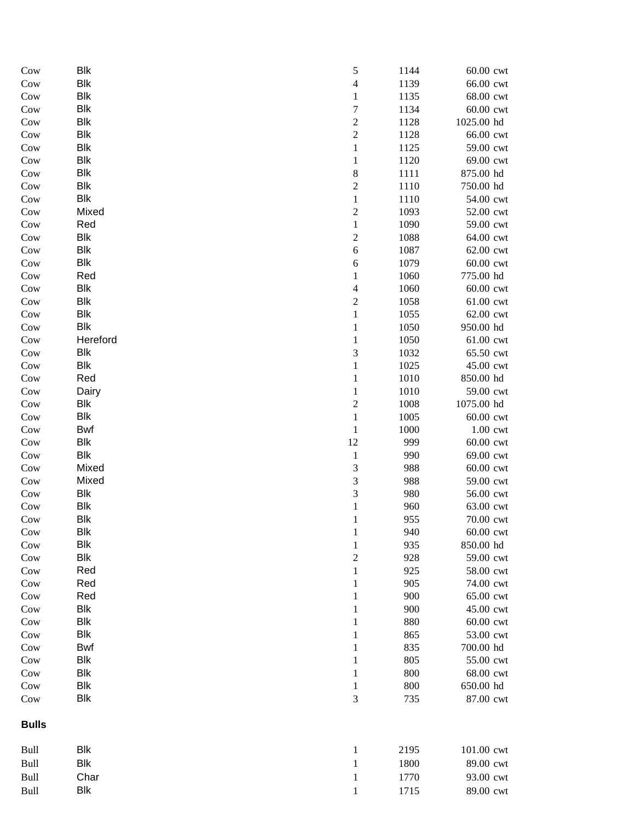| $_{\text{Cow}}$ | <b>Blk</b> | 5                        | 1144 | 60.00 cwt   |
|-----------------|------------|--------------------------|------|-------------|
| Cow             | <b>Blk</b> | $\overline{\mathcal{L}}$ | 1139 | 66.00 cwt   |
| Cow             | <b>Blk</b> | 1                        | 1135 | 68.00 cwt   |
| Cow             | <b>Blk</b> | $\boldsymbol{7}$         | 1134 | 60.00 cwt   |
| Cow             | <b>Blk</b> | $\overline{c}$           | 1128 | 1025.00 hd  |
| Cow             | <b>Blk</b> | $\overline{c}$           | 1128 | 66.00 cwt   |
| Cow             | <b>Blk</b> | $\mathbf{1}$             | 1125 | 59.00 cwt   |
| Cow             | <b>Blk</b> | $\mathbf{1}$             | 1120 | 69.00 cwt   |
| Cow             | <b>Blk</b> | 8                        | 1111 | 875.00 hd   |
| Cow             | <b>Blk</b> | $\overline{c}$           | 1110 | 750.00 hd   |
| Cow             | Blk        | $\,1$                    | 1110 | 54.00 cwt   |
| Cow             | Mixed      | $\overline{c}$           | 1093 | 52.00 cwt   |
| Cow             | Red        | $\,1$                    | 1090 | 59.00 cwt   |
| Cow             | Blk        | $\overline{c}$           | 1088 | 64.00 cwt   |
| Cow             | <b>Blk</b> | $\sqrt{6}$               | 1087 | 62.00 cwt   |
| Cow             | <b>Blk</b> | 6                        | 1079 | 60.00 cwt   |
| Cow             | Red        | 1                        | 1060 | 775.00 hd   |
| Cow             | Blk        | 4                        | 1060 | 60.00 cwt   |
| Cow             | <b>Blk</b> | $\overline{c}$           | 1058 | 61.00 cwt   |
| Cow             | <b>Blk</b> | $\mathbf{1}$             | 1055 | 62.00 cwt   |
| Cow             | <b>Blk</b> | 1                        | 1050 | 950.00 hd   |
| Cow             | Hereford   | 1                        | 1050 | 61.00 cwt   |
| Cow             | <b>Blk</b> | 3                        | 1032 | 65.50 cwt   |
| Cow             | <b>Blk</b> | 1                        | 1025 | 45.00 cwt   |
| Cow             | Red        | 1                        | 1010 | 850.00 hd   |
| Cow             | Dairy      | 1                        | 1010 | 59.00 cwt   |
| Cow             | Blk        | $\overline{c}$           | 1008 | 1075.00 hd  |
| Cow             | Blk        | $\mathbf{1}$             | 1005 | 60.00 cwt   |
| Cow             | <b>Bwf</b> | $\mathbf 1$              | 1000 | $1.00$ cwt  |
| Cow             | <b>Blk</b> | 12                       | 999  | 60.00 cwt   |
| Cow             | Blk        | $\mathbf{1}$             | 990  | 69.00 cwt   |
| Cow             | Mixed      | 3                        | 988  | 60.00 cwt   |
| Cow             | Mixed      | 3                        | 988  | 59.00 cwt   |
| Cow             | <b>Blk</b> | 3                        | 980  | 56.00 cwt   |
| Cow             | <b>Blk</b> | $\mathbf{1}$             | 960  | 63.00 cwt   |
| Cow             | <b>Blk</b> | 1                        | 955  | 70.00 cwt   |
| Cow             | Blk        | 1                        | 940  | $60.00$ cwt |
| Cow             | <b>Blk</b> | $\mathbf{1}$             | 935  | 850.00 hd   |
| Cow             | <b>Blk</b> | $\overline{c}$           | 928  | 59.00 cwt   |
| Cow             | Red        | 1                        | 925  | 58.00 cwt   |
| Cow             | Red        | 1                        | 905  | 74.00 cwt   |
| Cow             | Red        | 1                        | 900  | 65.00 cwt   |
| Cow             | <b>Blk</b> | 1                        | 900  | 45.00 cwt   |
| Cow             | <b>Blk</b> | 1                        | 880  | 60.00 cwt   |
| Cow             | <b>Blk</b> | 1                        | 865  | 53.00 cwt   |
| Cow             | <b>Bwf</b> | 1                        | 835  | 700.00 hd   |
| Cow             | <b>Blk</b> | 1                        | 805  | 55.00 cwt   |
| Cow             | <b>Blk</b> | 1                        | 800  | 68.00 cwt   |
| Cow             | <b>Blk</b> | 1                        | 800  | 650.00 hd   |
| Cow             | <b>Blk</b> | 3                        | 735  | 87.00 cwt   |
| <b>Bulls</b>    |            |                          |      |             |
| Bull            | <b>Blk</b> | 1                        | 2195 | 101.00 cwt  |
| Bull            | <b>Blk</b> | $\mathbf{1}$             | 1800 | 89.00 cwt   |
| Bull            | Char       | $\mathbf{1}$             | 1770 | 93.00 cwt   |
| Bull            | <b>Blk</b> |                          | 1715 | 89.00 cwt   |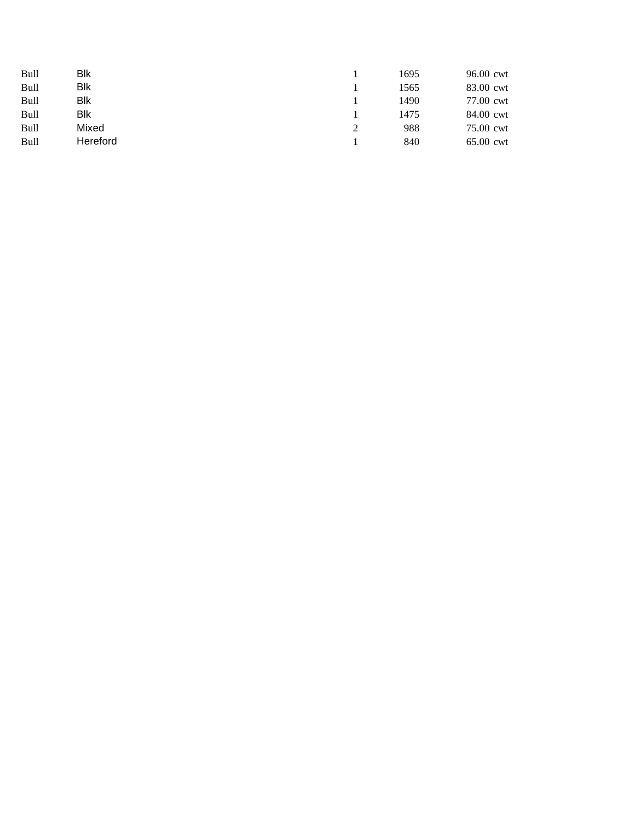| <b>Bull</b> | Blk      | 1695 | 96.00 cwt |
|-------------|----------|------|-----------|
| <b>Bull</b> | Blk      | 1565 | 83.00 cwt |
| <b>Bull</b> | Blk      | 1490 | 77.00 cwt |
| <b>Bull</b> | Blk      | 1475 | 84.00 cwt |
| <b>Bull</b> | Mixed    | 988  | 75.00 cwt |
| Bull        | Hereford | 840  | 65.00 cwt |